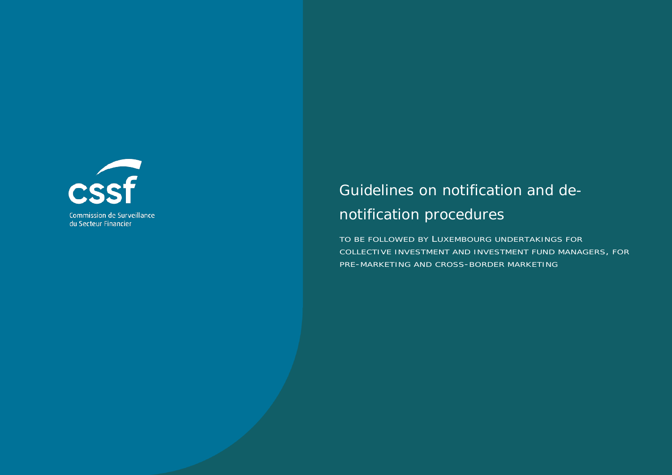

Commission de Surveillance du Secteur Financier

# Guidelines on notification and denotification procedures

TO BE FOLLOWED BY LUXEMBOURG UNDERTAKINGS FOR COLLECTIVE INVESTMENT AND INVESTMENT FUND MANAGERS, FOR PRE-MARKETING AND CROSS-BORDER MARKETING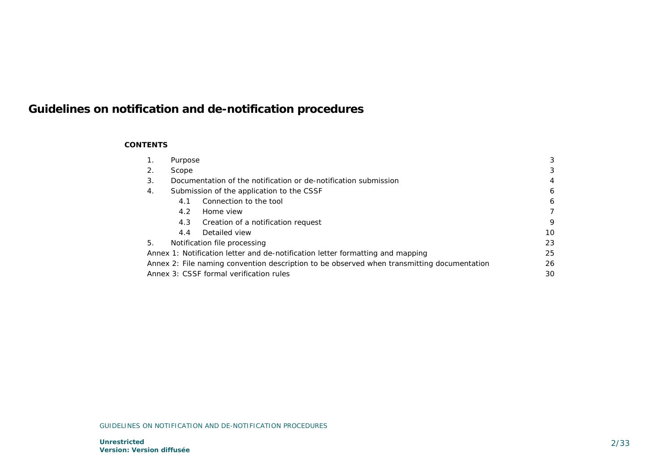# **Guidelines on notification and de-notification procedures**

### **CONTENTS**

| 1. | Purpose |                                                                                            |    |
|----|---------|--------------------------------------------------------------------------------------------|----|
| 2. | Scope   |                                                                                            | 3  |
| 3. |         | Documentation of the notification or de-notification submission                            | 4  |
| 4. |         | Submission of the application to the CSSF                                                  | 6  |
|    | 4.1     | Connection to the tool                                                                     | 6  |
|    | 4.2     | Home view                                                                                  |    |
|    | 4.3     | Creation of a notification request                                                         | 9  |
|    | 4.4     | Detailed view                                                                              | 10 |
| 5. |         | Notification file processing                                                               | 23 |
|    |         | Annex 1: Notification letter and de-notification letter formatting and mapping             | 25 |
|    |         | Annex 2: File naming convention description to be observed when transmitting documentation | 26 |
|    |         | Annex 3: CSSF formal verification rules                                                    | 30 |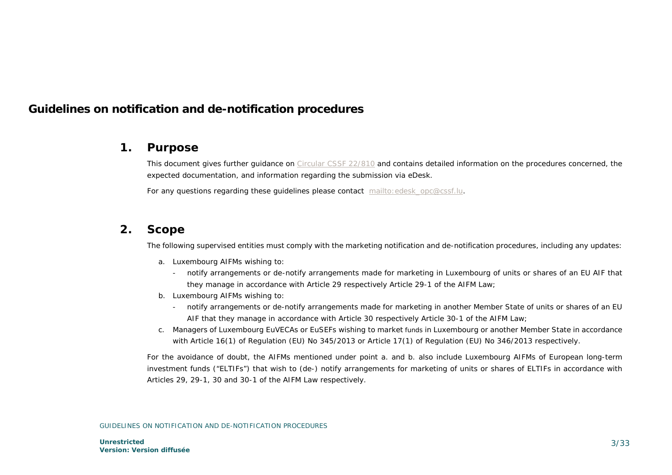# **Guidelines on notification and de-notification procedures**

# <span id="page-2-0"></span>**1. Purpose**

This document gives further guidance on [Circular CSSF 22/810](https://www.cssf.lu/fr/Document/circulaire-cssf-22-810/) and contains detailed information on the procedures concerned, the expected documentation, and information regarding the submission via eDesk.

<span id="page-2-1"></span>For any questions regarding these guidelines please contact mailto: edesk\_opc@cssf.lu.

# **2. Scope**

The following supervised entities must comply with the marketing notification and de-notification procedures, including any updates:

- a. Luxembourg AIFMs wishing to:
	- notify arrangements or de-notify arrangements made for marketing in Luxembourg of units or shares of an EU AIF that they manage in accordance with Article 29 respectively Article 29-1 of the AIFM Law;
- b. Luxembourg AIFMs wishing to:
	- notify arrangements or de-notify arrangements made for marketing in another Member State of units or shares of an EU AIF that they manage in accordance with Article 30 respectively Article 30-1 of the AIFM Law;
- c. Managers of Luxembourg EuVECAs or EuSEFs wishing to market funds in Luxembourg or another Member State in accordance with Article 16(1) of Regulation (EU) No 345/2013 or Article 17(1) of Regulation (EU) No 346/2013 respectively.

For the avoidance of doubt, the AIFMs mentioned under point a. and b. also include Luxembourg AIFMs of European long-term investment funds ("ELTIFs") that wish to (de-) notify arrangements for marketing of units or shares of ELTIFs in accordance with Articles 29, 29-1, 30 and 30-1 of the AIFM Law respectively.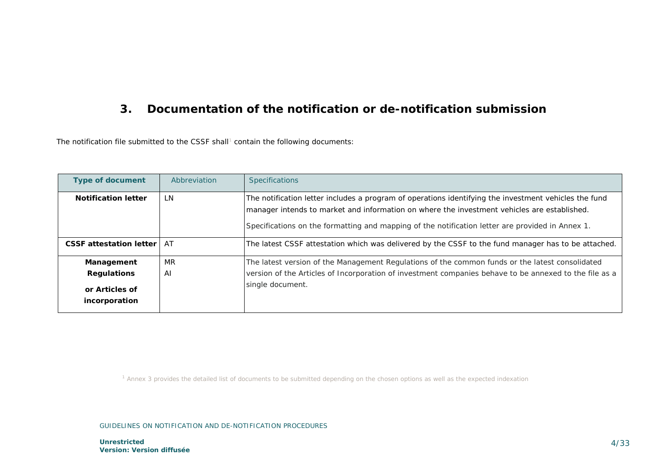# <span id="page-3-1"></span><span id="page-3-0"></span>**3. Documentation of the notification or de-notification submission**

The notification file submitted to the CSSF shall<sup>[1](#page-3-1)</sup> contain the following documents:

| <b>Type of document</b>                                             | Abbreviation | <b>Specifications</b>                                                                                                                                                                                                                                                                                    |
|---------------------------------------------------------------------|--------------|----------------------------------------------------------------------------------------------------------------------------------------------------------------------------------------------------------------------------------------------------------------------------------------------------------|
| <b>Notification letter</b>                                          | LN.          | The notification letter includes a program of operations identifying the investment vehicles the fund<br>manager intends to market and information on where the investment vehicles are established.<br>Specifications on the formatting and mapping of the notification letter are provided in Annex 1. |
| <b>CSSF</b> attestation letter                                      | <b>AT</b>    | The latest CSSF attestation which was delivered by the CSSF to the fund manager has to be attached.                                                                                                                                                                                                      |
| Management<br><b>Regulations</b><br>or Articles of<br>incorporation | MR<br>AI     | The latest version of the Management Regulations of the common funds or the latest consolidated<br>version of the Articles of Incorporation of investment companies behave to be annexed to the file as a<br>single document.                                                                            |

*<sup>1</sup> Annex 3 provides the detailed list of documents to be submitted depending on the chosen options as well as the expected indexation*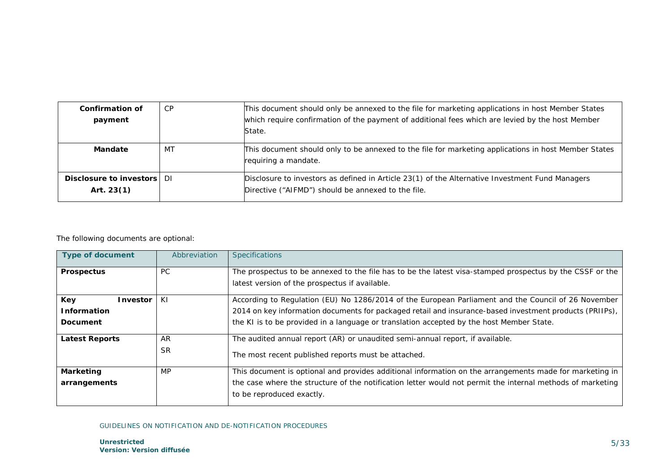| Confirmation of<br>payment                 | CP | This document should only be annexed to the file for marketing applications in host Member States<br>which require confirmation of the payment of additional fees which are levied by the host Member<br>State. |
|--------------------------------------------|----|-----------------------------------------------------------------------------------------------------------------------------------------------------------------------------------------------------------------|
| Mandate                                    | MT | This document should only to be annexed to the file for marketing applications in host Member States<br>requiring a mandate.                                                                                    |
| Disclosure to investors DI<br>Art. $23(1)$ |    | Disclosure to investors as defined in Article 23(1) of the Alternative Investment Fund Managers<br>Directive ("AIFMD") should be annexed to the file.                                                           |

### The following documents are optional:

| <b>Type of document</b>                           | Abbreviation    | <b>Specifications</b>                                                                                                                                                                                                                                                                                      |
|---------------------------------------------------|-----------------|------------------------------------------------------------------------------------------------------------------------------------------------------------------------------------------------------------------------------------------------------------------------------------------------------------|
| <b>Prospectus</b>                                 | PC.             | The prospectus to be annexed to the file has to be the latest visa-stamped prospectus by the CSSF or the<br>latest version of the prospectus if available.                                                                                                                                                 |
| Key<br>Investor<br><b>Information</b><br>Document | ΚI              | According to Regulation (EU) No 1286/2014 of the European Parliament and the Council of 26 November<br>2014 on key information documents for packaged retail and insurance-based investment products (PRIIPs),<br>the KI is to be provided in a language or translation accepted by the host Member State. |
| <b>Latest Reports</b>                             | AR<br><b>SR</b> | The audited annual report (AR) or unaudited semi-annual report, if available.<br>The most recent published reports must be attached.                                                                                                                                                                       |
| <b>Marketing</b><br>arrangements                  | <b>MP</b>       | This document is optional and provides additional information on the arrangements made for marketing in<br>the case where the structure of the notification letter would not permit the internal methods of marketing<br>to be reproduced exactly.                                                         |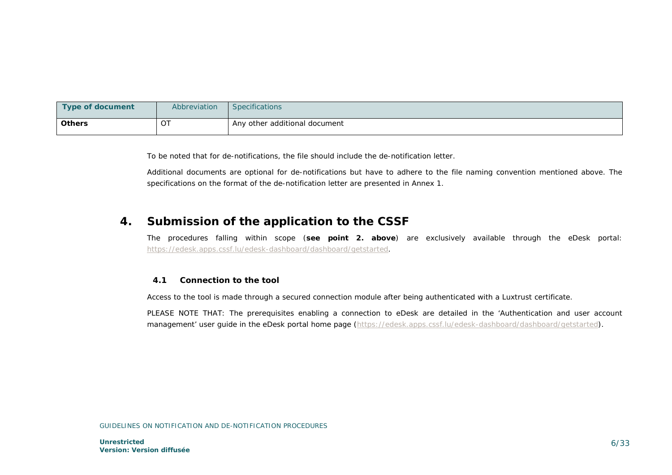| Type of document | Abbreviation | <b>Specifications</b>         |
|------------------|--------------|-------------------------------|
| <b>Others</b>    | OT           | Any other additional document |

To be noted that for de-notifications, the file should include the de-notification letter.

<span id="page-5-0"></span>Additional documents are optional for de-notifications but have to adhere to the file naming convention mentioned above. The specifications on the format of the de-notification letter are presented in Annex 1.

# **4. Submission of the application to the CSSF**

The procedures falling within scope (**see point 2. above**) are exclusively available through the eDesk portal: [https://edesk.apps.cssf.lu/edesk-dashboard/dashboard/getstarted.](https://edesk.apps.cssf.lu/edesk-dashboard/dashboard/getstarted)

### <span id="page-5-1"></span>**4.1 Connection to the tool**

Access to the tool is made through a secured connection module after being authenticated with a Luxtrust certificate.

PLEASE NOTE THAT: The prerequisites enabling a connection to eDesk are detailed in the 'Authentication and user account management' user guide in the eDesk portal home page [\(https://edesk.apps.cssf.lu/edesk-dashboard/dashboard/getstarted\)](https://edesk.apps.cssf.lu/edesk-dashboard/dashboard/getstarted).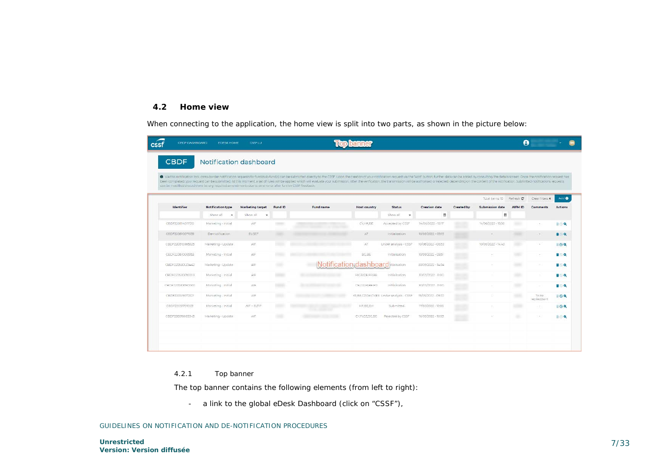### <span id="page-6-0"></span>**4.2 Home view**

When connecting to the application, the home view is split into two parts, as shown in the picture below:

| CROF DASHBOARD.<br>cssf | <b>EDESK HOME</b>                                                                                       | CSSF1U           |                |                                                                                                                                                                                                                                                                                                                                                                                                                                                                  |                     |                                        |                      |                  |                        | Θ               |                       |                 |
|-------------------------|---------------------------------------------------------------------------------------------------------|------------------|----------------|------------------------------------------------------------------------------------------------------------------------------------------------------------------------------------------------------------------------------------------------------------------------------------------------------------------------------------------------------------------------------------------------------------------------------------------------------------------|---------------------|----------------------------------------|----------------------|------------------|------------------------|-----------------|-----------------------|-----------------|
| <b>CBDF</b>             | Notification dashboard                                                                                  |                  |                |                                                                                                                                                                                                                                                                                                                                                                                                                                                                  |                     |                                        |                      |                  |                        |                 |                       |                 |
|                         | can be modified should there be any required amendments due to an error or after further CSSF feedback. |                  |                | O Via this notification tool, cross-border notification requests for fundisub-fundis) can be submitted directly to the CSSF. Upon the creation of your notification request has the "Add" button, further data can be added by<br>been completed, your request can be submitted. At this moment a set of rules will be applied which will evaluate your submission. After the verification, the transmission will be authorised or relected. depending on the co |                     |                                        |                      |                  |                        |                 |                       |                 |
|                         |                                                                                                         |                  |                |                                                                                                                                                                                                                                                                                                                                                                                                                                                                  |                     |                                        |                      |                  | Total items: 10        | Refresh C       | Clear filters x       | Add O           |
| Identifier              | <b>Notification type</b>                                                                                | Marketing target | Fund ID        | <b>Fund name</b>                                                                                                                                                                                                                                                                                                                                                                                                                                                 | <b>Host country</b> | <b>Status</b>                          | <b>Creation date</b> | Created by       | <b>Submission date</b> | <b>AIFM ID</b>  | Comments              | <b>Actions</b>  |
|                         | Show all<br>$\bullet$                                                                                   | Show all<br>×    |                |                                                                                                                                                                                                                                                                                                                                                                                                                                                                  |                     | Show all<br>$\bullet$                  | 台                    |                  | 曲                      |                 |                       |                 |
| CBDF220614011720        | Marketing - Initial                                                                                     | AIF              |                |                                                                                                                                                                                                                                                                                                                                                                                                                                                                  | CY, HR, BE          | Accepted by CSSF                       | 14/06/2022 - 1517    | <b>JOHN TERR</b> | 14/06/2022 - 1536      | <b>Service</b>  | $\sim$                | <b>BOQ</b>      |
| CBDF220610071535        | De-notification                                                                                         | <b>EUSEF</b>     |                |                                                                                                                                                                                                                                                                                                                                                                                                                                                                  | AT.                 | Initialisation                         | 10/06/2022 - 09:15   |                  |                        | <b>STATE</b>    | $\sim$                | <b>BIOQ</b>     |
| CBDF220610065325        | Marketing - Update                                                                                      | AIF.             |                |                                                                                                                                                                                                                                                                                                                                                                                                                                                                  | AT                  | Under analysis - CSSF                  | 10/06/2022 - 08:53   | <b>ACCORD</b>    | 10/05/2022 - 14:43     | 1001            | ÷                     | 00 <sup>Q</sup> |
| CEDF220610065153        | Marketing - initial                                                                                     | AIF              | <b>Hillman</b> |                                                                                                                                                                                                                                                                                                                                                                                                                                                                  | <b>BG BE</b>        | Initialisation                         | 10/06/2022 - 08:51   |                  |                        | $-100$          |                       | 1899            |
| CBDF220530120442        | Marketing - Update                                                                                      | AIR              | 99             | Notification dashboard                                                                                                                                                                                                                                                                                                                                                                                                                                           |                     |                                        | 30/05/2022 - 14:04   |                  |                        |                 |                       | $B$ $Q$         |
| CRDF220530090013        | Marketing - Initial                                                                                     | AIF              | <b>START</b>   |                                                                                                                                                                                                                                                                                                                                                                                                                                                                  | <b>FIGRIDE FRBE</b> | Initialization                         | 4/05/2022 - 11:00    | AN FR<br>e ve    |                        | $\sim$          |                       | <b>TOQ</b>      |
| CROFZZINKODROOD         | Marketing - Initial                                                                                     | AIF              | man at         |                                                                                                                                                                                                                                                                                                                                                                                                                                                                  | DECREtBEER          | tritialisation                         | 30/05/2022 - 1100    | m                | ×                      | <b>TERRIT</b>   |                       | <b>T</b> ⊙Q     |
| CBDF2205/9072221        | Marketing - Initial                                                                                     | AIF              |                |                                                                                                                                                                                                                                                                                                                                                                                                                                                                  |                     | #R.BE.CZ.DKCVEE Linder analysis - CSSE | 19/05/2022 - 09:22   |                  |                        | an e            | To be<br>replied/sent | $\Box$          |
| CBDF220517010531        | Marketing - Initial                                                                                     | AIF + ELTIF      |                |                                                                                                                                                                                                                                                                                                                                                                                                                                                                  | HP BE DK            | Submitted.                             | 17/05/2022 - 15:05   |                  |                        | <b>SECURITY</b> | $\sim$                | 00 <sup>2</sup> |
| CBDF22C516085343        | Marketing - Update                                                                                      | AIF              | 394            |                                                                                                                                                                                                                                                                                                                                                                                                                                                                  | CYFI,CZ,DE,BE       | Rejected by CSSF                       | 16/05/2022 - 10:53   | <b>TISS</b>      |                        |                 |                       | $\blacksquare$  |
|                         |                                                                                                         |                  |                |                                                                                                                                                                                                                                                                                                                                                                                                                                                                  |                     |                                        |                      |                  |                        |                 |                       |                 |
|                         |                                                                                                         |                  |                |                                                                                                                                                                                                                                                                                                                                                                                                                                                                  |                     |                                        |                      |                  |                        |                 |                       |                 |
|                         |                                                                                                         |                  |                |                                                                                                                                                                                                                                                                                                                                                                                                                                                                  |                     |                                        |                      |                  |                        |                 |                       |                 |

### 4.2.1 Top banner

The top banner contains the following elements (from left to right):

- a link to the global eDesk Dashboard (click on "CSSF"),

GUIDELINES ON NOTIFICATION AND DE-NOTIFICATION PROCEDURES

**Unrestricted Version: Version diffusée**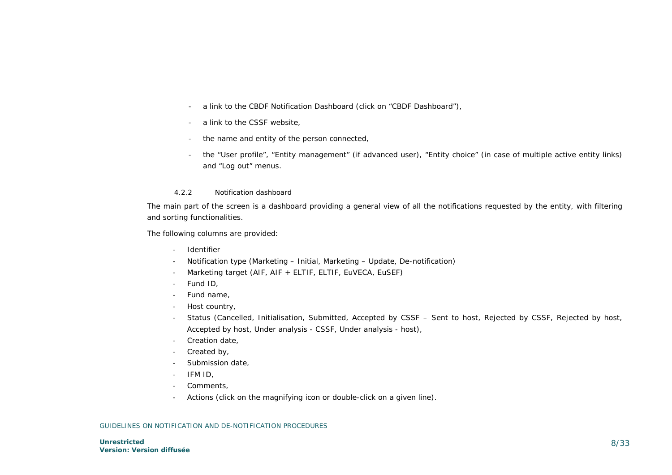- a link to the CBDF Notification Dashboard (click on "CBDF Dashboard"),
- a link to the CSSF website,
- the name and entity of the person connected,
- the "User profile", "Entity management" (if advanced user), "Entity choice" (in case of multiple active entity links) and "Log out" menus.

#### 4.2.2 Notification dashboard

The main part of the screen is a dashboard providing a general view of all the notifications requested by the entity, with filtering and sorting functionalities.

The following columns are provided:

- Identifier
- Notification type (Marketing Initial, Marketing Update, De-notification)
- Marketing target (AIF, AIF + ELTIF, ELTIF, EuVECA, EuSEF)
- Fund ID,
- Fund name,
- Host country,
- Status (Cancelled, Initialisation, Submitted, Accepted by CSSF Sent to host, Rejected by CSSF, Rejected by host, Accepted by host, Under analysis - CSSF, Under analysis - host),
- Creation date,
- Created by,
- Submission date,
- IFM ID,
- Comments,
- Actions (click on the magnifying icon or double-click on a given line).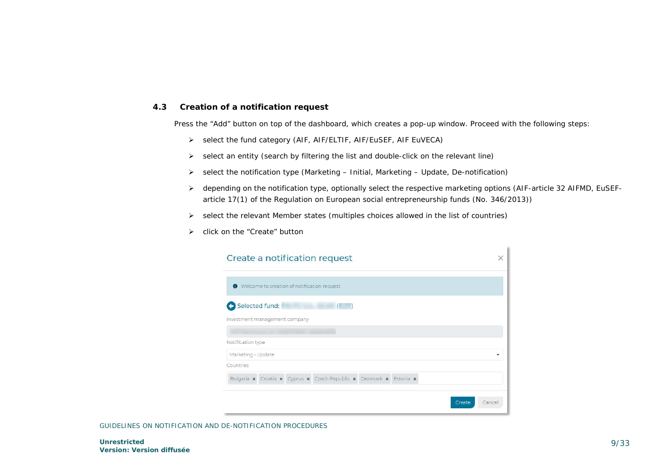### <span id="page-8-0"></span>**4.3 Creation of a notification request**

Press the "Add" button on top of the dashboard, which creates a pop-up window. Proceed with the following steps:

- select the fund category (AIF, AIF/ELTIF, AIF/EuSEF, AIF EuVECA)
- $\triangleright$  select an entity (search by filtering the list and double-click on the relevant line)
- $\triangleright$  select the notification type (Marketing Initial, Marketing Update, De-notification)
- depending on the notification type, optionally select the respective marketing options (AIF-article 32 AIFMD, EuSEFarticle 17(1) of the Regulation on European social entrepreneurship funds (No. 346/2013))

×

- $\triangleright$  select the relevant Member states (multiples choices allowed in the list of countries)
- > click on the "Create" button

| $\bullet$          |                               | Welcome to creation of notification request                        |  |  |
|--------------------|-------------------------------|--------------------------------------------------------------------|--|--|
|                    | Selected fund:                |                                                                    |  |  |
|                    | Investment management company |                                                                    |  |  |
|                    |                               |                                                                    |  |  |
| Notification type  |                               |                                                                    |  |  |
| Marketing - Update |                               |                                                                    |  |  |
| Countries          |                               |                                                                    |  |  |
|                    |                               | Bulgaria x Croatia x Cyprus x Czech Republic x Denmark x Estonia x |  |  |
|                    |                               |                                                                    |  |  |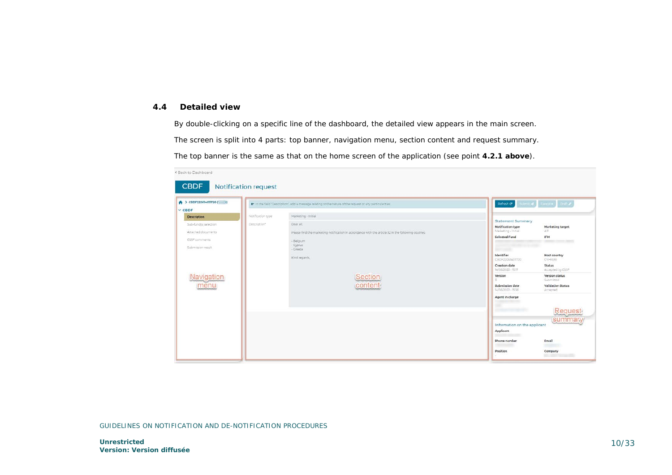### <span id="page-9-0"></span>**4.4 Detailed view**

By double-clicking on a specific line of the dashboard, the detailed view appears in the main screen. The screen is split into 4 parts: top banner, navigation menu, section content and request summary. The top banner is the same as that on the home screen of the application (see point **4.2.1 above**).

| ◆ > CBDF220614011720 ( )<br>$\times$ CBDF                    | or in the field 'Description', add a message relating to the nature of the request or any particularities.        | $\left\lceil \text{Refrash} \, \mathbf{C} \right\rceil \leq \text{Refrash} \, \mathbb{E} \left\lceil \text{Refrash} \, \mathbf{C} \right\rceil \leq \text{Refrash} \, \mathscr{B} \right\rceil$ |                                      |
|--------------------------------------------------------------|-------------------------------------------------------------------------------------------------------------------|-------------------------------------------------------------------------------------------------------------------------------------------------------------------------------------------------|--------------------------------------|
| Notification type<br><b>Description</b>                      | Marketing - Initial                                                                                               | Statement Summary                                                                                                                                                                               |                                      |
| Description*<br>Sub-fund(s) selection:<br>Attached documents | -Dear all:<br>Please find the marketing notification in accordance with the article 32 in the following coutries: | Notification type<br>Marketing - Initial                                                                                                                                                        | <b>Marketing target</b><br>AIR       |
| CSSF comments<br>Submission result                           | - Belgium<br>- Cyprus<br>$-Green$                                                                                 | Selected Fund<br><b>Altres parts</b>                                                                                                                                                            | <b>IFM</b><br><b>CONTRACTOR</b>      |
|                                                              | Kind regards,                                                                                                     | Identifier<br>CBDF220614017720                                                                                                                                                                  | <b>Host country</b><br>CYHR.BE       |
|                                                              |                                                                                                                   | Creation date<br>14/06/2022 - 15:17                                                                                                                                                             | <b>Status</b><br>Accepted by CSSF    |
| Navigation                                                   | Section                                                                                                           | Version                                                                                                                                                                                         | Version status<br>Submitted          |
| menu                                                         | content                                                                                                           | Submission date<br>14/06/2022 - 1536                                                                                                                                                            | <b>Validation Status</b><br>Accepted |
|                                                              |                                                                                                                   | Agent in charge                                                                                                                                                                                 |                                      |
|                                                              |                                                                                                                   |                                                                                                                                                                                                 | Request                              |
|                                                              |                                                                                                                   | Information on the applicant<br>Applicant                                                                                                                                                       | summary                              |
|                                                              |                                                                                                                   | Phone number                                                                                                                                                                                    | Email                                |
|                                                              |                                                                                                                   | Position                                                                                                                                                                                        | <b>URSIN</b><br>Company              |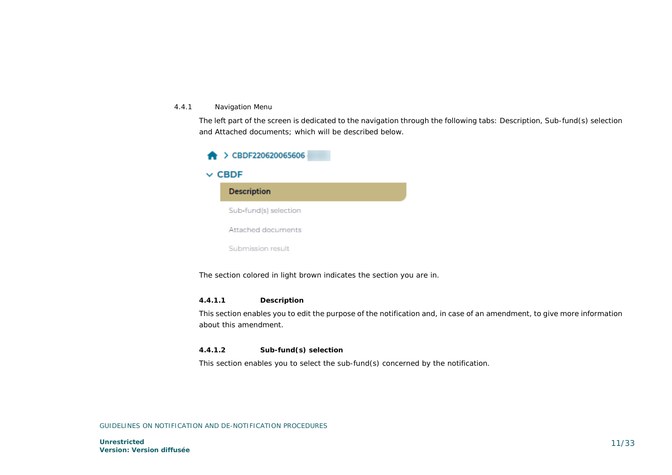#### 4.4.1 Navigation Menu

The left part of the screen is dedicated to the navigation through the following tabs: Description, Sub-fund(s) selection and Attached documents; which will be described below.



The section colored in light brown indicates the section you are in.

#### *4.4.1.1 Description*

This section enables you to edit the purpose of the notification and, in case of an amendment, to give more information about this amendment.

#### *4.4.1.2 Sub-fund(s) selection*

This section enables you to select the sub-fund(s) concerned by the notification.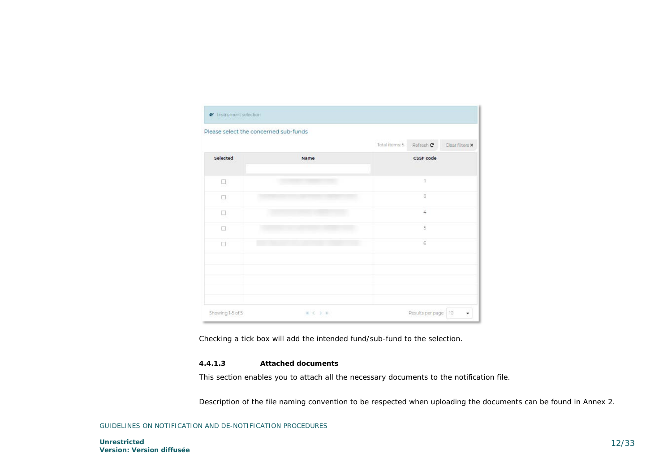| Please select the concerned sub-funds |      |                |                  |                 |
|---------------------------------------|------|----------------|------------------|-----------------|
|                                       |      | Total items: 5 | Refresh C        | Clear filters X |
| Selected                              | Name |                | <b>CSSF</b> code |                 |
| Ц                                     |      |                | J.               |                 |
| o                                     |      |                | $\overline{3}$   |                 |
| n                                     |      |                | 4                |                 |
| □                                     |      |                | $\overline{5}$   |                 |
| п                                     |      |                | 6                |                 |
|                                       |      |                |                  |                 |
|                                       |      |                |                  |                 |
|                                       |      |                |                  |                 |

Checking a tick box will add the intended fund/sub-fund to the selection.

#### *4.4.1.3 Attached documents*

This section enables you to attach all the necessary documents to the notification file.

Description of the file naming convention to be respected when uploading the documents can be found in Annex 2.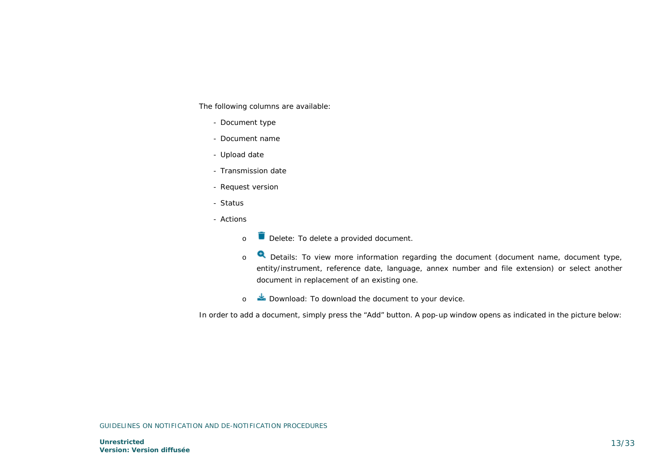The following columns are available:

- Document type
- Document name
- Upload date
- Transmission date
- Request version
- Status
- Actions
	- o **D** Delete: To delete a provided document.
	- o **Q** Details: To view more information regarding the document (document name, document type, entity/instrument, reference date, language, annex number and file extension) or select another document in replacement of an existing one.
	- o **Download:** To download the document to your device.

In order to add a document, simply press the "Add" button. A pop-up window opens as indicated in the picture below: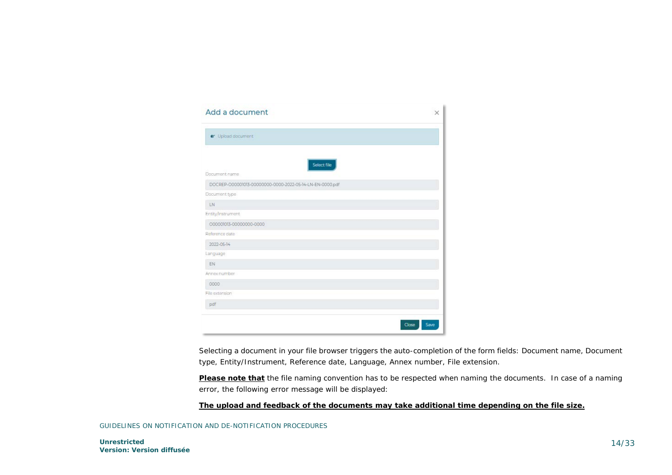| Add a document                                           | $\times$      |
|----------------------------------------------------------|---------------|
| or Upload document                                       |               |
| Select file<br>Document name                             |               |
| DOCREP-000001013-00000000-0000-2022-05-14-LN-EN-0000.pdf |               |
| Document type                                            |               |
| LN                                                       |               |
| Entity/Instrument                                        |               |
| 000001013-00000000-0000                                  |               |
| Reference date                                           |               |
| 2022-05-14                                               |               |
| Language                                                 |               |
| EN                                                       |               |
| Annex number                                             |               |
| 0000                                                     |               |
| File extension                                           |               |
| pdf                                                      |               |
|                                                          | Save<br>Close |

Selecting a document in your file browser triggers the auto-completion of the form fields: Document name, Document type, Entity/Instrument, Reference date, Language, Annex number, File extension.

**Please note that** the file naming convention has to be respected when naming the documents. In case of a naming error, the following error message will be displayed:

#### **The upload and feedback of the documents may take additional time depending on the file size.**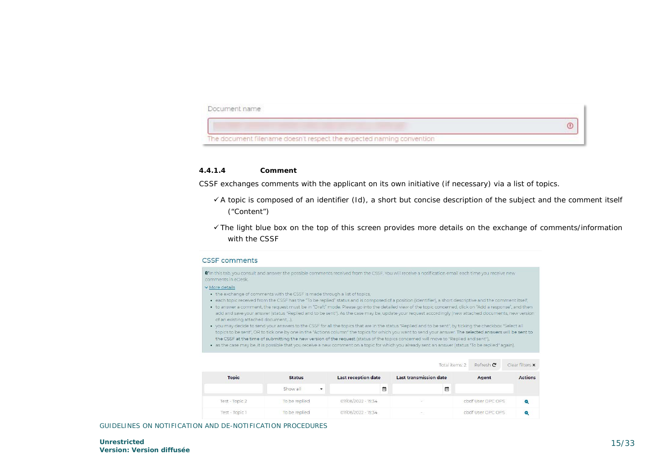

#### *4.4.1.4 Comment*

CSSF exchanges comments with the applicant on its own initiative (if necessary) via a list of topics.

- $\checkmark$  A topic is composed of an identifier (Id), a short but concise description of the subject and the comment itself ("Content")
- The light blue box on the top of this screen provides more details on the exchange of comments/information with the CSSF

#### **CSSF** comments

The this tab you consult and answer the possible comments received from the CSSE You will receive a notification email each time you receive new comments in eDesk More details

- . the exchange of comments with the CSSF is made through a list of topics,
- . each topic received from the CSSF has the "To be replied" status and is composed of a position (identifier), a short descriptive and the comment itself,
- . to answer a comment, the request must be in "Draft" mode. Please go into the detailed view of the topic concerned, click on "Add a response", and then
- add and save your answer (status "Replied and to be sent"). As the case may be, update your request accordingly (new attached documents, new version of an existing attached document...).
- . you may decide to send your answers to the CSSF for all the topics that are in the status "Replied and to be sent", by ticking the checkbox "Select all topics to be sent". OR to tick one by one in the "Actions column" the topics for which you want to send your answer. The selected answers will be sent to the CSSF at the time of submitting the new version of the request (status of the topics concerned will move to "Replied and sent"),
- . as the case may be, it is possible that you receive a new comment on a topic for which you already sent an answer (status "To be replied" again).

|                |               |                            | Total items: 2                | Refresh C         | Clear filters X |
|----------------|---------------|----------------------------|-------------------------------|-------------------|-----------------|
| <b>Topic</b>   | <b>Status</b> | <b>Last reception date</b> | <b>Last transmission date</b> | Agent             | <b>Actions</b>  |
|                | Show all<br>▼ | 曲                          | 茴                             |                   |                 |
| Test - Topic 2 | To be replied | 07/06/2022 - 15:34         | 53                            | cbdf User OPC OPS |                 |
| Test - Topic 1 | To be replied | 07/06/2022 - 15:34         | ÷.                            | cbdf User OPC OPS |                 |

GUIDELINES ON NOTIFICATION AND DE-NOTIFICATION PROCEDURES

**Unrestricted Version: Version diffusée**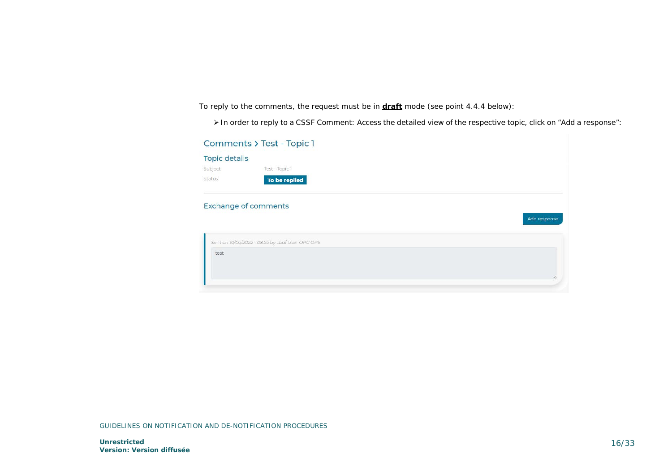To reply to the comments, the request must be in **draft** mode (see point 4.4.4 below):

In order to reply to a CSSF Comment: Access the detailed view of the respective topic, click on "Add a response":

| <b>Topic details</b><br>Subject<br>Test - Topic 1<br>Status<br>To be replied<br><b>Exchange of comments</b> |              |
|-------------------------------------------------------------------------------------------------------------|--------------|
|                                                                                                             |              |
|                                                                                                             |              |
|                                                                                                             |              |
|                                                                                                             | Add response |
| Sent on 10/06/2022 - 08:55 by cbdf User OPC OPS                                                             |              |
| test                                                                                                        |              |
|                                                                                                             |              |
|                                                                                                             |              |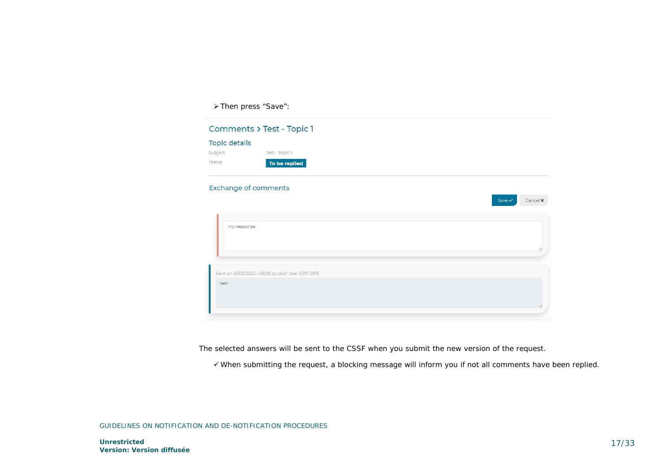> Then press "Save":

|                      | Comments > Test - Topic 1                       |  |                                      |
|----------------------|-------------------------------------------------|--|--------------------------------------|
| <b>Topic details</b> |                                                 |  |                                      |
| Subject              | Test - Topic 1                                  |  |                                      |
| Status               | To be replied                                   |  |                                      |
|                      | <b>Exchange of comments</b>                     |  |                                      |
|                      |                                                 |  | Cancel <b>x</b><br>Save $\checkmark$ |
| my response          |                                                 |  |                                      |
|                      |                                                 |  |                                      |
|                      | Sent on 10/06/2022 - 08:55 by cbdf User OPC OPS |  |                                      |
| test                 |                                                 |  |                                      |
|                      |                                                 |  |                                      |

The selected answers will be sent to the CSSF when you submit the new version of the request.

When submitting the request, a blocking message will inform you if not all comments have been replied.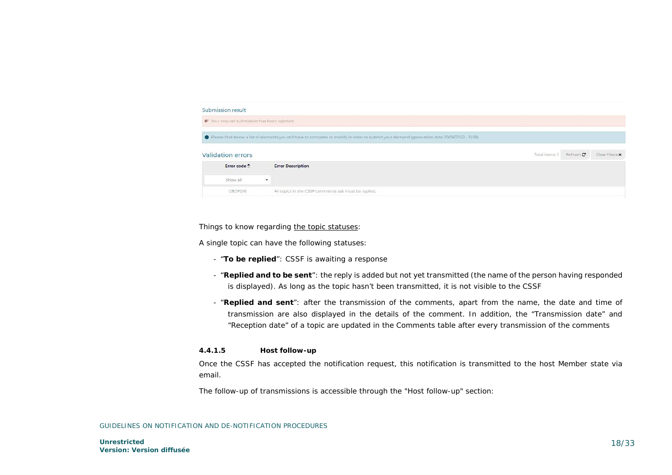

#### *Things to know regarding the topic statuses:*

A single topic can have the following statuses:

- "**To be replied**": CSSF is awaiting a response
- "**Replied and to be sent**": the reply is added but not yet transmitted (the name of the person having responded is displayed). As long as the topic hasn't been transmitted, it is not visible to the CSSF
- "**Replied and sent**": after the transmission of the comments, apart from the name, the date and time of transmission are also displayed in the details of the comment. In addition, the "Transmission date" and "Reception date" of a topic are updated in the Comments table after every transmission of the comments

#### *4.4.1.5 Host follow-up*

Once the CSSF has accepted the notification request, this notification is transmitted to the host Member state via email.

The follow-up of transmissions is accessible through the "Host follow-up" section: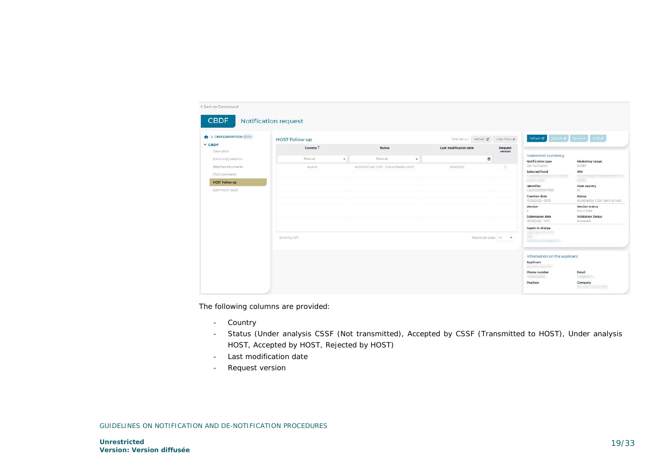| ◆ > CBDF220610071535                       | <b>HOST Follow-up</b> |              |                                        |         |                        | Total items:1 Refresh C | Clear fitters x    | $Re{\text{first}}$ $\mathbf{C}$ , $Im{\text{first}}$ , $Im{\text{first}}$ , | <b>Draft</b>                              |
|--------------------------------------------|-----------------------|--------------|----------------------------------------|---------|------------------------|-------------------------|--------------------|-----------------------------------------------------------------------------|-------------------------------------------|
| $\times$ CBDF<br>Description               | Country *             |              | <b>Status</b>                          |         | Last modification date |                         | Request<br>version |                                                                             |                                           |
| Sub-fund(s) selection                      | Show all              | $\mathbf{v}$ | Show all                               | $\star$ |                        | $\blacksquare$          |                    | <b>Statement Summary</b><br>Notification type                               | <b>Marketing target</b>                   |
| Attached documents<br>CSSF comments        | Austria               |              | ACCEPTED BY CSSF - Transmitted to HOST |         | 16/06/2022             |                         | ă                  | De-notification<br>Selected Fund                                            | EUSEF<br>IFM<br><b>START</b>              |
| <b>HOST Follow-up</b><br>Submission result |                       |              |                                        |         |                        |                         |                    | <b>CONTRACTOR</b><br>Identifier<br>CBDF220610071535                         | $-100$<br>Host country<br>AT.             |
|                                            |                       |              |                                        |         |                        |                         |                    | <b>Creation date</b><br>10/06/2022 - 09:15                                  | Status<br>Accepted by CSSP (Sent to host) |
|                                            |                       |              |                                        |         |                        |                         |                    | Version<br>D.                                                               | Version status<br>Submitted               |
|                                            |                       |              |                                        |         |                        |                         |                    | Submission date<br>16/06/2022 - 13:51                                       | Validation Status<br>Accepted.            |
|                                            |                       |              |                                        |         |                        |                         |                    | Agent in charge                                                             |                                           |
|                                            | Showing Tof I         |              |                                        |         |                        | Results per page 10 -   |                    | m                                                                           |                                           |
|                                            |                       |              |                                        |         |                        |                         |                    | Information on the applicant<br>Applicant                                   |                                           |
|                                            |                       |              |                                        |         |                        |                         |                    | Phone number                                                                | Email                                     |
|                                            |                       |              |                                        |         |                        |                         |                    | Position                                                                    | men<br>Company                            |

The following columns are provided:

- Country
- Status (Under analysis CSSF (Not transmitted), Accepted by CSSF (Transmitted to HOST), Under analysis HOST, Accepted by HOST, Rejected by HOST)
- Last modification date
- Request version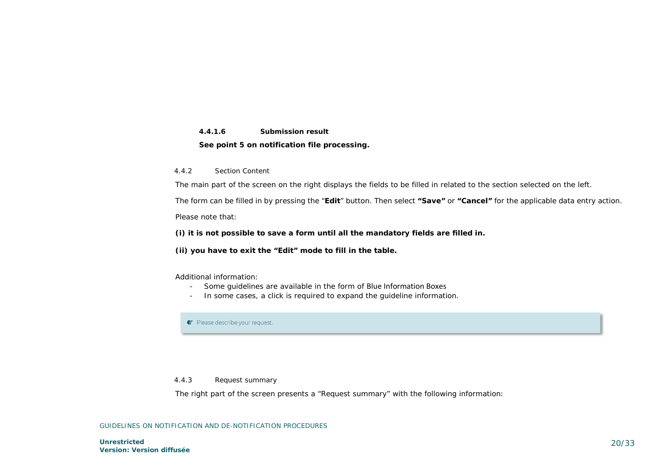## *4.4.1.6 Submission result* **See point 5 on notification file processing.**

#### 4.4.2 Section Content

The main part of the screen on the right displays the fields to be filled in related to the section selected on the left.

The form can be filled in by pressing the "**Edit**" button. Then select **"Save"** or **"Cancel"** for the applicable data entry action.

Please note that:

#### **(i) it is not possible to save a form until all the mandatory fields are filled in.**

**(ii) you have to exit the "Edit" mode to fill in the table.** 

#### Additional information:

- Some guidelines are available in the form of Blue Information Boxes
- In some cases, a click is required to expand the guideline information.

**C** Please describe your request.

#### 4.4.3 Request summary

The right part of the screen presents a "Request summary" with the following information: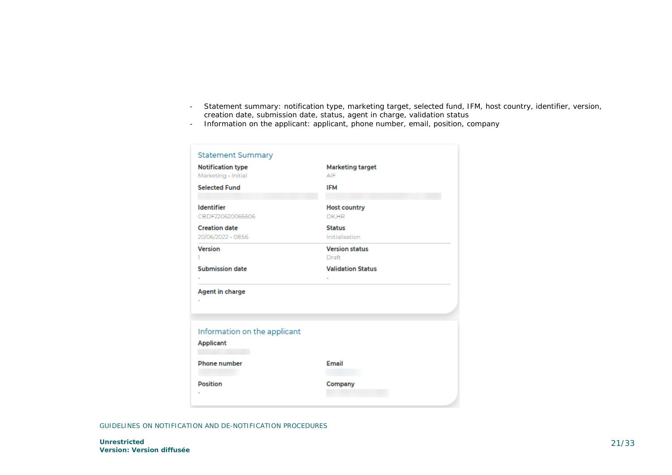- Statement summary: notification type, marketing target, selected fund, IFM, host country, identifier, version, creation date, submission date, status, agent in charge, validation status
- Information on the applicant: applicant, phone number, email, position, company

| <b>Statement Summary</b>                         |                                       |
|--------------------------------------------------|---------------------------------------|
| <b>Notification type</b>                         | <b>Marketing target</b>               |
| Marketing - Initial                              | AIF                                   |
| <b>Selected Fund</b>                             | <b>IFM</b>                            |
| <b>Identifier</b><br>CBDF220620065606            | <b>Host country</b><br>DK.HR          |
| <b>Creation date</b><br>20/06/2022 - 08:56       | <b>Status</b><br>Initialisation       |
|                                                  |                                       |
| <b>Version</b><br>ı                              | <b>Version status</b><br><b>Draft</b> |
| <b>Submission date</b>                           | <b>Validation Status</b>              |
| Agent in charge                                  |                                       |
| Information on the applicant<br><b>Applicant</b> |                                       |
| <b>Phone number</b>                              | Email                                 |
| <b>Position</b>                                  | Company                               |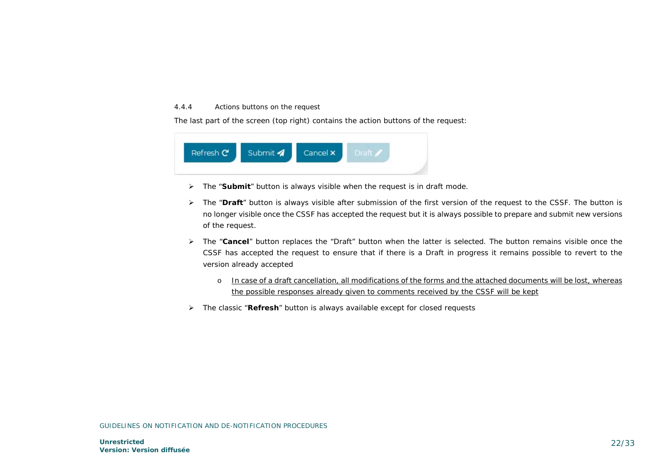#### 4.4.4 Actions buttons on the request

The last part of the screen (top right) contains the action buttons of the request:



- The "**Submit**" button is always visible when the request is in draft mode.
- The "**Draft**" button is always visible after submission of the first version of the request to the CSSF. The button is no longer visible once the CSSF has accepted the request but it is always possible to prepare and submit new versions of the request.
- The "**Cancel**" button replaces the "Draft" button when the latter is selected. The button remains visible once the CSSF has accepted the request to ensure that if there is a Draft in progress it remains possible to revert to the version already accepted
	- o In case of a draft cancellation, all modifications of the forms and the attached documents will be lost, whereas the possible responses already given to comments received by the CSSF will be kept
- The classic "**Refresh**" button is always available except for closed requests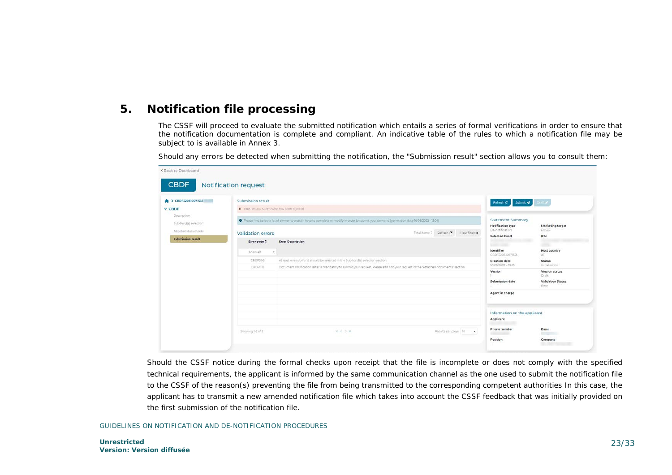# **5. Notification file processing**

<span id="page-22-0"></span>The CSSF will proceed to evaluate the submitted notification which entails a series of formal verifications in order to ensure that the notification documentation is complete and compliant. An indicative table of the rules to which a notification file may be subject to is available in Annex 3.

Should any errors be detected when submitting the notification, the "Submission result" section allows you to consult them:

| $\leftrightarrow$ $\geq$ CBDF220610071535 | Submission result                           |                                                                                                                                                  |                    |                                        | Refresh C' Submit of                             | Don 2                                                                                                                                                                                                                                         |  |  |
|-------------------------------------------|---------------------------------------------|--------------------------------------------------------------------------------------------------------------------------------------------------|--------------------|----------------------------------------|--------------------------------------------------|-----------------------------------------------------------------------------------------------------------------------------------------------------------------------------------------------------------------------------------------------|--|--|
| V CBDF                                    | @ Your request submission has been rejected |                                                                                                                                                  |                    |                                        |                                                  |                                                                                                                                                                                                                                               |  |  |
| Description<br>Sub-fund(s) selection      |                                             | O Flease find below a list of elements you still have to complete or modify in order to submit your demand (generation date 16/06/2022 - 15:06). |                    |                                        | Statement Summary<br><b>Notification type</b>    | Marketing target                                                                                                                                                                                                                              |  |  |
| Attached documents                        | Validation errors                           |                                                                                                                                                  |                    | Total home 2 Refresh C Clear filters X | De-notification<br>Selected Fund                 | EUSEF<br>IFM                                                                                                                                                                                                                                  |  |  |
| <b>Submission result</b>                  | Error code *                                | <b>Error Description</b>                                                                                                                         | <b>Gold County</b> |                                        |                                                  |                                                                                                                                                                                                                                               |  |  |
|                                           | Show all                                    | $\cdot$                                                                                                                                          |                    |                                        | Identifier<br>CBDF220610071555                   | <b>Host country</b><br>AT.                                                                                                                                                                                                                    |  |  |
|                                           | CBDF006                                     | At least one sub-fund should be selected in the Sub-fundisi selection section.                                                                   |                    |                                        |                                                  |                                                                                                                                                                                                                                               |  |  |
|                                           | CHOFOID                                     | Document notification letter is mandatory to submit your request. Please add it to your request in the "Attached documents" section              |                    |                                        | 10/06/2022 - 09:15<br>Version<br>Submission date | initialisation"<br>Version status<br>Draft<br><b>Validation Status</b><br>Etror                                                                                                                                                               |  |  |
|                                           |                                             |                                                                                                                                                  |                    |                                        | Agent in charge                                  |                                                                                                                                                                                                                                               |  |  |
|                                           |                                             |                                                                                                                                                  |                    |                                        | Information on the applicant<br>Applicant        |                                                                                                                                                                                                                                               |  |  |
|                                           | Showing 1-2 of 2                            | $H = 0.37H$                                                                                                                                      |                    | Results per page 10 .                  | Phone number                                     | Email<br><b>Contract of the Contract of the Contract of the Contract of the Contract of the Contract of the Contract of the Contract of the Contract of the Contract of the Contract of the Contract of The Contract of The Contract of T</b> |  |  |
|                                           |                                             |                                                                                                                                                  |                    |                                        | Position                                         | Company                                                                                                                                                                                                                                       |  |  |

Should the CSSF notice during the formal checks upon receipt that the file is incomplete or does not comply with the specified technical requirements, the applicant is informed by the same communication channel as the one used to submit the notification file to the CSSF of the reason(s) preventing the file from being transmitted to the corresponding competent authorities In this case, the applicant has to transmit a new amended notification file which takes into account the CSSF feedback that was initially provided on the first submission of the notification file.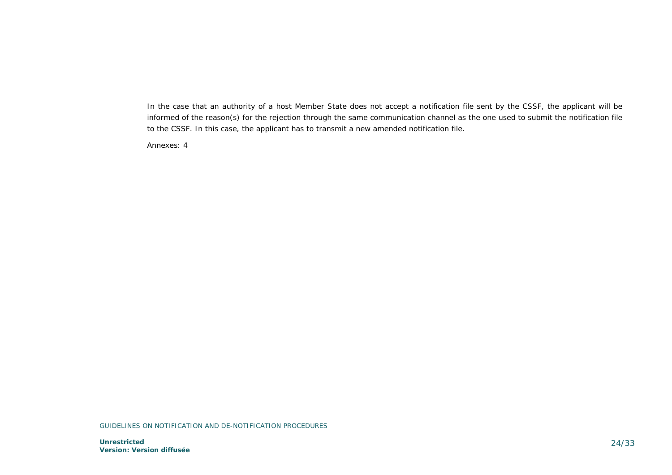In the case that an authority of a host Member State does not accept a notification file sent by the CSSF, the applicant will be informed of the reason(s) for the rejection through the same communication channel as the one used to submit the notification file to the CSSF. In this case, the applicant has to transmit a new amended notification file.

Annexes: 4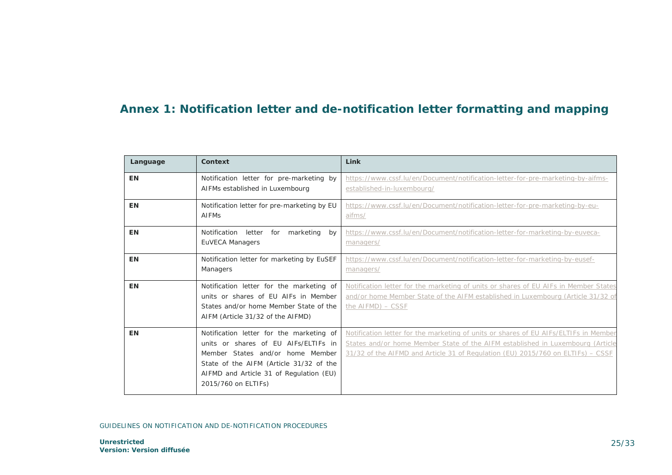# <span id="page-24-0"></span>**Annex 1: Notification letter and de-notification letter formatting and mapping**

| Language  | Context                                                                                                                                                                                                                           | Link                                                                                                                                                                                                                                                      |
|-----------|-----------------------------------------------------------------------------------------------------------------------------------------------------------------------------------------------------------------------------------|-----------------------------------------------------------------------------------------------------------------------------------------------------------------------------------------------------------------------------------------------------------|
| <b>EN</b> | Notification letter for pre-marketing by<br>AIFMs established in Luxembourg                                                                                                                                                       | https://www.cssf.lu/en/Document/notification-letter-for-pre-marketing-by-aifms-<br>established-in-luxembourg/                                                                                                                                             |
| <b>EN</b> | Notification letter for pre-marketing by EU<br><b>AIFMs</b>                                                                                                                                                                       | https://www.cssf.lu/en/Document/notification-letter-for-pre-marketing-by-eu-<br>aifms/                                                                                                                                                                    |
| <b>EN</b> | Notification<br>letter<br>for<br>marketing<br>bv<br>EuVECA Managers                                                                                                                                                               | https://www.cssf.lu/en/Document/notification-letter-for-marketing-by-euveca-<br>managers/                                                                                                                                                                 |
| <b>EN</b> | Notification letter for marketing by EuSEF<br>Managers                                                                                                                                                                            | https://www.cssf.lu/en/Document/notification-letter-for-marketing-by-eusef-<br>managers/                                                                                                                                                                  |
| ΕN        | Notification letter for the marketing of<br>units or shares of EU AIFs in Member<br>States and/or home Member State of the<br>AIFM (Article 31/32 of the AIFMD)                                                                   | Notification letter for the marketing of units or shares of EU AIFs in Member States<br>and/or home Member State of the AIFM established in Luxembourg (Article 31/32 of<br>the $AIFMD$ ) $-$ CSSF                                                        |
| EN        | Notification letter for the marketing of<br>units or shares of EU AIFs/ELTIFs in<br>Member States and/or home Member<br>State of the AIFM (Article 31/32 of the<br>AIFMD and Article 31 of Regulation (EU)<br>2015/760 on ELTIFs) | Notification letter for the marketing of units or shares of EU AIFs/ELTIFs in Member<br>States and/or home Member State of the AIFM established in Luxembourg (Article<br>31/32 of the AIFMD and Article 31 of Regulation (EU) 2015/760 on ELTIFs) - CSSF |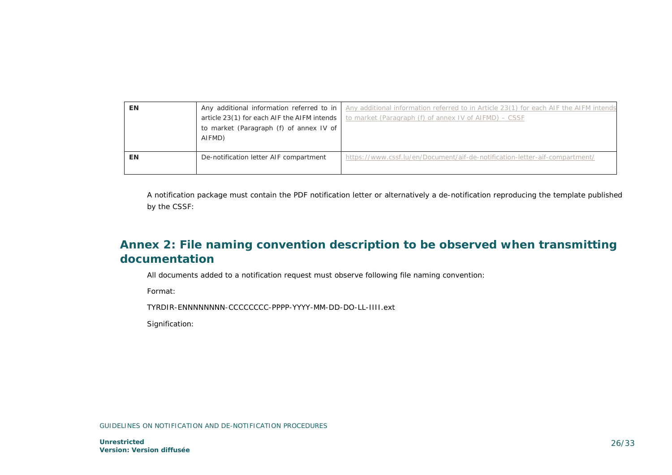| EN | article 23(1) for each AIF the AIFM intends  <br>to market (Paragraph (f) of annex IV of<br>AIFMD) | Any additional information referred to in $\vert$ Any additional information referred to in Article 23(1) for each AIF the AIFM intends<br>to market (Paragraph (f) of annex IV of AIFMD) - CSSF |
|----|----------------------------------------------------------------------------------------------------|--------------------------------------------------------------------------------------------------------------------------------------------------------------------------------------------------|
| EN | De-notification letter AIF compartment                                                             | https://www.cssf.lu/en/Document/aif-de-notification-letter-aif-compartment/                                                                                                                      |

A notification package must contain the PDF notification letter or alternatively a de-notification reproducing the template published by the CSSF:

# <span id="page-25-0"></span>**Annex 2: File naming convention description to be observed when transmitting documentation**

All documents added to a notification request must observe following file naming convention:

Format:

TYRDIR-ENNNNNNNN-CCCCCCCC-PPPP-YYYY-MM-DD-DO-LL-IIII.ext

Signification: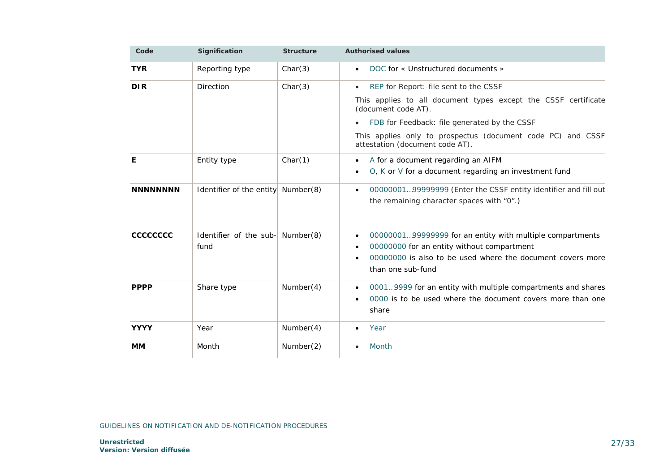| Code            | Signification                      | <b>Structure</b> | <b>Authorised values</b>                                                                       |
|-----------------|------------------------------------|------------------|------------------------------------------------------------------------------------------------|
| <b>TYR</b>      | Reporting type                     | Char(3)          | DOC for « Unstructured documents »<br>$\bullet$                                                |
| <b>DIR</b>      | Direction                          | Char(3)          | REP for Report: file sent to the CSSF<br>$\bullet$                                             |
|                 |                                    |                  | This applies to all document types except the CSSF certificate<br>(document code AT).          |
|                 |                                    |                  | FDB for Feedback: file generated by the CSSF<br>$\bullet$                                      |
|                 |                                    |                  | This applies only to prospectus (document code PC) and CSSF<br>attestation (document code AT). |
| Е               | Entity type                        | Char(1)          | A for a document regarding an AIFM<br>$\bullet$                                                |
|                 |                                    |                  | $O$ , $K$ or $V$ for a document regarding an investment fund<br>$\bullet$                      |
| <b>NNNNNNNN</b> | Identifier of the entity Number(8) |                  | 0000000199999999 (Enter the CSSF entity identifier and fill out<br>$\bullet$                   |
|                 |                                    |                  | the remaining character spaces with "0".)                                                      |
| cccccccc        | Identifier of the sub- Number(8)   |                  | 0000000199999999 for an entity with multiple compartments<br>$\bullet$                         |
|                 | fund                               |                  | 00000000 for an entity without compartment<br>$\bullet$                                        |
|                 |                                    |                  | 00000000 is also to be used where the document covers more<br>$\bullet$<br>than one sub-fund   |
| <b>PPPP</b>     | Share type                         | Number(4)        | 00019999 for an entity with multiple compartments and shares<br>$\bullet$                      |
|                 |                                    |                  | 0000 is to be used where the document covers more than one<br>$\bullet$<br>share               |
| <b>YYYY</b>     | Year                               | Number(4)        | Year<br>$\bullet$                                                                              |
| MМ              | Month                              | Number(2)        | Month<br>$\bullet$                                                                             |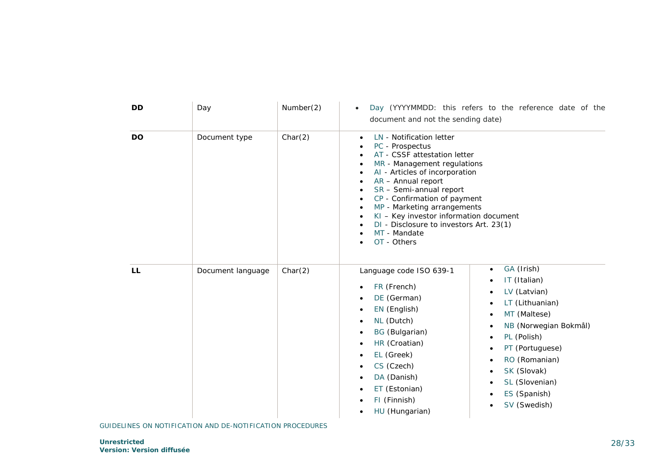| DD        | Day               | Number(2) | Day (YYYYMMDD: this refers to the reference date of the<br>$\bullet$<br>document and not the sending date)                                                                                                                                                                                                                                                                                                                                                                                                                                                                                                                                                        |
|-----------|-------------------|-----------|-------------------------------------------------------------------------------------------------------------------------------------------------------------------------------------------------------------------------------------------------------------------------------------------------------------------------------------------------------------------------------------------------------------------------------------------------------------------------------------------------------------------------------------------------------------------------------------------------------------------------------------------------------------------|
| <b>DO</b> | Document type     | Char(2)   | LN - Notification letter<br>$\bullet$<br>PC - Prospectus<br>AT - CSSF attestation letter<br>MR - Management regulations<br>AI - Articles of incorporation<br>$AR -$ Annual report<br>$SR$ – Semi-annual report<br>CP - Confirmation of payment<br>MP - Marketing arrangements<br>$KI$ – Key investor information document<br>DI - Disclosure to investors Art. 23(1)<br>MT - Mandate<br>OT - Others                                                                                                                                                                                                                                                               |
| <b>LL</b> | Document language | Char(2)   | GA (Irish)<br>$\bullet$<br>Language code ISO 639-1<br>IT (Italian)<br>$\bullet$<br>FR (French)<br>LV (Latvian)<br>$\bullet$<br>DE (German)<br>$\bullet$<br>LT (Lithuanian)<br>EN (English)<br>$\bullet$<br>MT (Maltese)<br>NL (Dutch)<br>٠<br>NB (Norwegian Bokmål)<br>$\bullet$<br><b>BG</b> (Bulgarian)<br>$\bullet$<br>PL (Polish)<br>$\bullet$<br>HR (Croatian)<br>$\bullet$<br>PT (Portuguese)<br>EL (Greek)<br>$\bullet$<br>RO (Romanian)<br>$\bullet$<br>CS (Czech)<br>$\bullet$<br>SK (Slovak)<br>$\bullet$<br>DA (Danish)<br>$\bullet$<br>SL (Slovenian)<br>$\bullet$<br>ET (Estonian)<br>ES (Spanish)<br>FI (Finnish)<br>SV (Swedish)<br>HU (Hungarian) |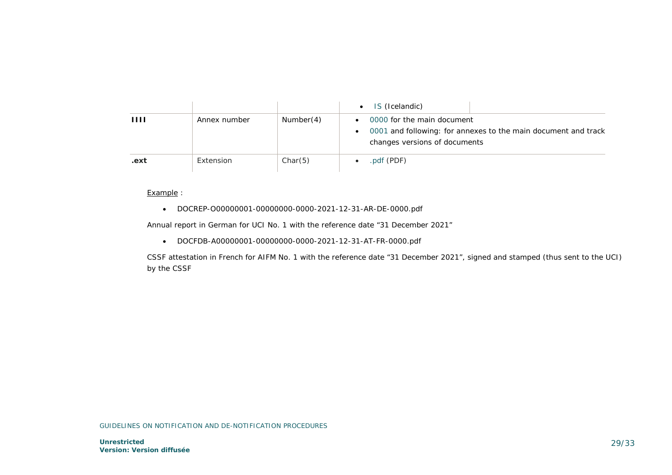|                |              |           | IS (Icelandic)                                                                                                                                          |
|----------------|--------------|-----------|---------------------------------------------------------------------------------------------------------------------------------------------------------|
| $\blacksquare$ | Annex number | Number(4) | 0000 for the main document<br>$\bullet$<br>0001 and following: for annexes to the main document and track<br>$\bullet$<br>changes versions of documents |
| .ext           | Extension    | Char(5)   | pdf (PDF)                                                                                                                                               |

### Example :

• DOCREP-O00000001-00000000-0000-2021-12-31-AR-DE-0000.pdf

Annual report in German for UCI No. 1 with the reference date "31 December 2021"

• DOCFDB-A00000001-00000000-0000-2021-12-31-AT-FR-0000.pdf

CSSF attestation in French for AIFM No. 1 with the reference date "31 December 2021", signed and stamped (thus sent to the UCI) by the CSSF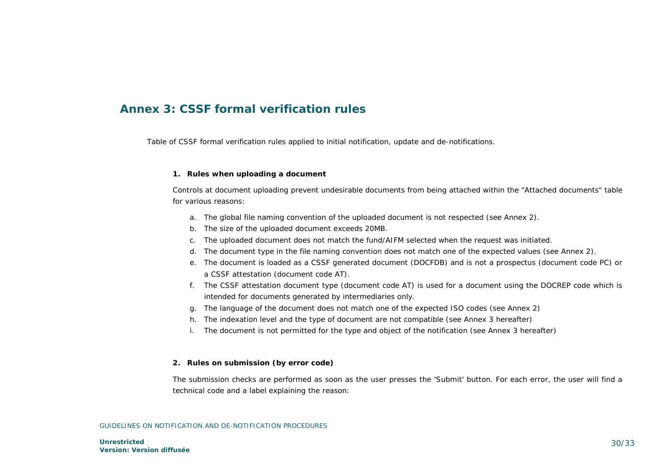# <span id="page-29-0"></span>**Annex 3: CSSF formal verification rules**

Table of CSSF formal verification rules applied to initial notification, update and de-notifications.

#### **1. Rules when uploading a document**

*Controls at document uploading prevent undesirable documents from being attached within the "Attached documents" table for various reasons:* 

- a. The global file naming convention of the uploaded document is not respected (see Annex 2).
- b. The size of the uploaded document exceeds 20MB.
- c. The uploaded document does not match the fund/AIFM selected when the request was initiated.
- d. The document type in the file naming convention does not match one of the expected values (see Annex 2).
- e. The document is loaded as a CSSF generated document (DOCFDB) and is not a prospectus (document code PC) or a CSSF attestation (document code AT).
- f. The CSSF attestation document type (document code AT) is used for a document using the DOCREP code which is intended for documents generated by intermediaries only.
- g. The language of the document does not match one of the expected ISO codes (see Annex 2)
- h. The indexation level and the type of document are not compatible (see Annex 3 hereafter)
- i. The document is not permitted for the type and object of the notification (see Annex 3 hereafter)

#### **2. Rules on submission (by error code)**

*The submission checks are performed as soon as the user presses the 'Submit' button. For each error, the user will find a technical code and a label explaining the reason:*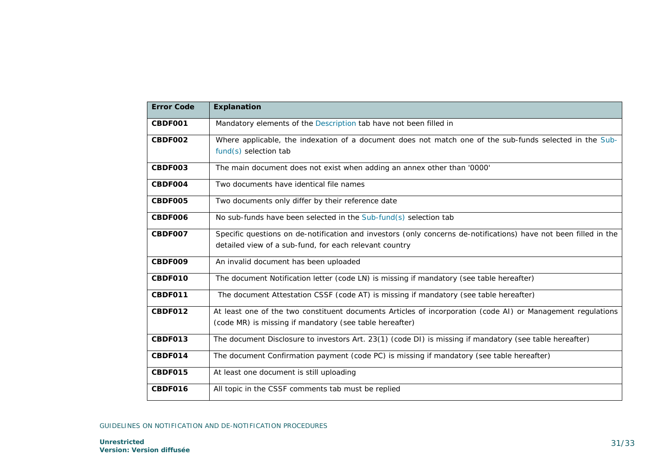| <b>Error Code</b> | <b>Explanation</b>                                                                                               |
|-------------------|------------------------------------------------------------------------------------------------------------------|
| CBDF001           | Mandatory elements of the Description tab have not been filled in                                                |
| CBDF002           | Where applicable, the indexation of a document does not match one of the sub-funds selected in the Sub-          |
|                   | $fund(s)$ selection tab                                                                                          |
| CBDF003           | The main document does not exist when adding an annex other than '0000'                                          |
| CBDF004           | Two documents have identical file names                                                                          |
| CBDF005           | Two documents only differ by their reference date                                                                |
| CBDF006           | No sub-funds have been selected in the Sub-fund(s) selection tab                                                 |
| CBDF007           | Specific questions on de-notification and investors (only concerns de-notifications) have not been filled in the |
|                   | detailed view of a sub-fund, for each relevant country                                                           |
| CBDF009           | An invalid document has been uploaded                                                                            |
| CBDF010           | The document Notification letter (code LN) is missing if mandatory (see table hereafter)                         |
| CBDF011           | The document Attestation CSSF (code AT) is missing if mandatory (see table hereafter)                            |
| CBDF012           | At least one of the two constituent documents Articles of incorporation (code AI) or Management regulations      |
|                   | (code MR) is missing if mandatory (see table hereafter)                                                          |
| CBDF013           | The document Disclosure to investors Art. 23(1) (code DI) is missing if mandatory (see table hereafter)          |
| CBDF014           | The document Confirmation payment (code PC) is missing if mandatory (see table hereafter)                        |
| CBDF015           | At least one document is still uploading                                                                         |
| CBDF016           | All topic in the CSSF comments tab must be replied                                                               |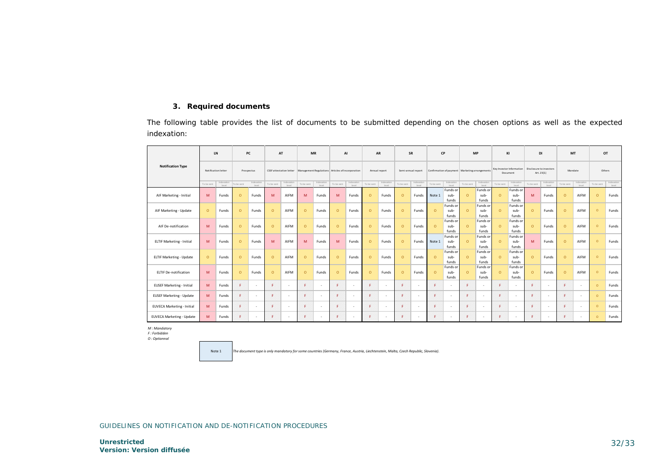### **3. Required documents**

The following table provides the list of documents to be submitted depending on the chosen options as well as the expected indexation:

|                                   | LN                                |                    |            | PC                             | AT                                |                                                  | <b>MR</b>                         |        |                                   | AI                       |            | AR                    |            | SR                       |            | CP                                               | <b>MP</b>                         |                                      | KI         |                                       | DI         |                     |                                  | MT<br>OT                 |                                   |       |  |
|-----------------------------------|-----------------------------------|--------------------|------------|--------------------------------|-----------------------------------|--------------------------------------------------|-----------------------------------|--------|-----------------------------------|--------------------------|------------|-----------------------|------------|--------------------------|------------|--------------------------------------------------|-----------------------------------|--------------------------------------|------------|---------------------------------------|------------|---------------------|----------------------------------|--------------------------|-----------------------------------|-------|--|
| <b>Notification Type</b>          | Notification letter<br>Prospectus |                    |            | <b>CSSF</b> attestation letter |                                   | Management Regulations Articles of incorporation |                                   |        |                                   | Annual report            |            | Semi-annual report    |            |                          |            | Confirmation of payment   Marketing arrangements |                                   | Key Investor Information<br>Document |            | Disclosure to investors<br>Art. 23(1) |            | Mandate             |                                  | Others                   |                                   |       |  |
|                                   | To be sent                        | Indexation<br>Imml | To be sent | Indexation<br>level            | Indexation<br>To be sent<br>Invel |                                                  | Indexation<br>To be sent<br>level |        | Indexation<br>To be sent<br>Invel |                          | To be sent | Indexation<br>Level . | To be sent | Indexation<br>Invel      | To be sent | Indexation<br>Imml                               | Indexation<br>To be sent<br>Invel |                                      | To be sent | Indexation<br>Imml                    | To be sent | Indexation<br>Invel | Indexation<br>To be sent<br>Imml |                          | Indexation<br>To be sent<br>Invel |       |  |
| AIF Marketing - Initial           | M                                 | Funds              | $\circ$    | Funds                          | M                                 | AIFM                                             | M                                 | Funds  | M                                 | Funds                    | $\Omega$   | Funds                 | $\circ$    | Funds                    | Note 1     | Funds or<br>sub-<br>funds                        | $\circ$                           | Funds or<br>sub-<br>funds            | $\circ$    | Funds or<br>sub-<br>funds             | M          | Funds               | $\Omega$                         | AIFM                     | $\Omega$                          | Funds |  |
| AIF Marketing - Update            | $\Omega$                          | Funds              | $\circ$    | Funds                          | $\circ$                           | AIFM                                             | $\circ$                           | Funds  | $\Omega$                          | Funds                    | $\Omega$   | Funds                 | $\circ$    | Funds                    | $\circ$    | Funds or<br>sub-<br>funds                        | $\circ$                           | Funds or<br>sub-<br>funds            | $\circ$    | Funds or<br>sub-<br>funds             | $\circ$    | Funds               | $\Omega$                         | AIFM                     | $\Omega$                          | Funds |  |
| AIF De-notification               | M                                 | Funds              | $\circ$    | Funds                          | $\circ$                           | AIFM                                             | $\circ$                           | Funds  | $\Omega$                          | Funds                    | $\Omega$   | Funds                 | $\circ$    | Funds                    | $\Omega$   | Funds or<br>sub-<br>funds                        | $\Omega$                          | Funds or<br>sub-<br>funds            | $\Omega$   | <b>Funds</b> or<br>sub-<br>funds      | $\circ$    | Funds               | $\circ$                          | AIFM                     | $\Omega$                          | Funds |  |
| <b>ELTIF Marketing - Initial</b>  | M                                 | Funds              | $\circ$    | Funds                          | M                                 | AIFM                                             | M                                 | Funds  | M                                 | Funds                    | $\Omega$   | Funds                 | $\circ$    | Funds                    | Note 1     | Funds or<br>sub-<br>funds                        | $\circ$                           | Funds or<br>sub-<br>funds            | $\circ$    | <b>Funds</b> or<br>sub-<br>funds      | M          | Funds               | $\circ$                          | AIFM                     | $\Omega$                          | Funds |  |
| ELTIF Marketing - Update          | $\circ$                           | Funds              | $\circ$    | Funds                          | $\Omega$                          | AIFM                                             | $\circ$                           | Funds  | $\Omega$                          | Funds                    | $\Omega$   | Funds                 | $\circ$    | Funds                    | $\Omega$   | Funds or<br>sub-<br>funds                        | $\Omega$                          | Funds or<br>sub-<br>funds            | $\Omega$   | <b>Funds</b> or<br>sub-<br>funds      | $\Omega$   | Funds               | $\Omega$                         | AIFM                     | $\Omega$                          | Funds |  |
| <b>ELTIF De-notification</b>      | M                                 | Funds              | $\circ$    | Funds                          | $\Omega$                          | AIFM                                             | $\circ$                           | Funds  | $\Omega$                          | Funds                    | $\Omega$   | Funds                 | $\circ$    | Funds                    | $\Omega$   | Funds or<br>sub-<br>funds                        | $\Omega$                          | Funds or<br>sub-<br>funds            | $\circ$    | <b>Funds</b> or<br>sub-<br>funds      | $\circ$    | Funds               | $\Omega$                         | AIFM                     | $\Omega$                          | Funds |  |
| <b>EUSEF Marketing - Initial</b>  | M                                 | Funds              | F.         |                                | F.                                |                                                  | F                                 | $\sim$ |                                   | $\overline{\phantom{a}}$ | F          | $\sim$                | я          | $\overline{\phantom{a}}$ | F          |                                                  | F.                                |                                      | я          |                                       | F          | $\sim$              | c                                | $\overline{\phantom{a}}$ | $\Omega$                          | Funds |  |
| <b>EUSEF Marketing - Update</b>   | M                                 | Funds              | F.         |                                | F.                                |                                                  | F                                 | $\sim$ |                                   | $\sim$                   |            | $\sim$                | c.         | $\overline{\phantom{a}}$ | F.         | $\overline{\phantom{a}}$                         | F.                                |                                      | я          | ٠                                     | F          | $\sim$              |                                  | $\sim$                   | $\Omega$                          | Funds |  |
| <b>EUVECA Marketing - Initial</b> | M                                 | Funds              | F.         | ÷.                             | F.                                | $\sim$                                           | F                                 | $\sim$ |                                   | $\overline{\phantom{a}}$ | F          | $\sim$                | c.         | ٠                        | F.         | . п.                                             | F                                 |                                      | F.         | ۰                                     | F          | $\sim$              | ٠                                | $\sim$                   | $\circ$                           | Funds |  |
| EUVECA Marketing - Update         | M                                 | Funds              | F.         |                                | F.                                | $\overline{\phantom{a}}$                         | F                                 | $\sim$ |                                   | $\overline{\phantom{a}}$ | Æ.         | $\sim$                | F.         | ٠                        | F.         |                                                  | F.                                |                                      | F.         |                                       | F          | $\sim$              | е                                | $\sim$                   | $\Omega$                          | Funds |  |

*M : Mandatory*

*F : Forbidden O : Optionnal*

> *The document type is only mandatory for some countries (Germany, France, Austria, Liechtenstein, Malta, Czech Republic, Slovenia).* Note 1